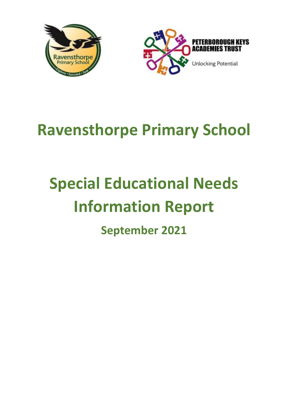



# **Ravensthorpe Primary School**

# **Special Educational Needs Information Report**

**September 2021**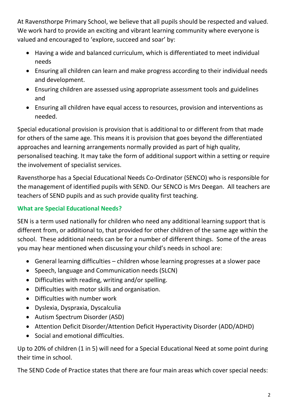At Ravensthorpe Primary School, we believe that all pupils should be respected and valued. We work hard to provide an exciting and vibrant learning community where everyone is valued and encouraged to 'explore, succeed and soar' by:

- Having a wide and balanced curriculum, which is differentiated to meet individual needs
- Ensuring all children can learn and make progress according to their individual needs and development.
- Ensuring children are assessed using appropriate assessment tools and guidelines and
- Ensuring all children have equal access to resources, provision and interventions as needed.

Special educational provision is provision that is additional to or different from that made for others of the same age. This means it is provision that goes beyond the differentiated approaches and learning arrangements normally provided as part of high quality, personalised teaching. It may take the form of additional support within a setting or require the involvement of specialist services.

Ravensthorpe has a Special Educational Needs Co-Ordinator (SENCO) who is responsible for the management of identified pupils with SEND. Our SENCO is Mrs Deegan. All teachers are teachers of SEND pupils and as such provide quality first teaching.

# **What are Special Educational Needs?**

SEN is a term used nationally for children who need any additional learning support that is different from, or additional to, that provided for other children of the same age within the school. These additional needs can be for a number of different things. Some of the areas you may hear mentioned when discussing your child's needs in school are:

- General learning difficulties children whose learning progresses at a slower pace
- Speech, language and Communication needs (SLCN)
- Difficulties with reading, writing and/or spelling.
- Difficulties with motor skills and organisation.
- Difficulties with number work
- Dyslexia, Dyspraxia, Dyscalculia
- Autism Spectrum Disorder (ASD)
- Attention Deficit Disorder/Attention Deficit Hyperactivity Disorder (ADD/ADHD)
- Social and emotional difficulties.

Up to 20% of children (1 in 5) will need for a Special Educational Need at some point during their time in school.

The SEND Code of Practice states that there are four main areas which cover special needs: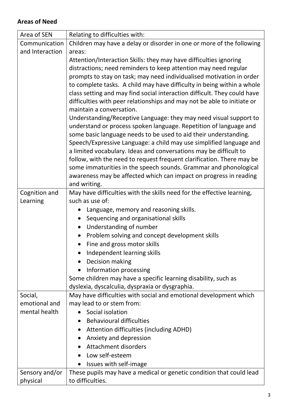# **Areas of Need**

| Area of SEN     | Relating to difficulties with:                                                                                                                                                                                                                                                                                                                                                                                                                                                                                                            |  |  |
|-----------------|-------------------------------------------------------------------------------------------------------------------------------------------------------------------------------------------------------------------------------------------------------------------------------------------------------------------------------------------------------------------------------------------------------------------------------------------------------------------------------------------------------------------------------------------|--|--|
| Communication   | Children may have a delay or disorder in one or more of the following                                                                                                                                                                                                                                                                                                                                                                                                                                                                     |  |  |
| and Interaction | areas:                                                                                                                                                                                                                                                                                                                                                                                                                                                                                                                                    |  |  |
|                 | Attention/Interaction Skills: they may have difficulties ignoring                                                                                                                                                                                                                                                                                                                                                                                                                                                                         |  |  |
|                 | distractions; need reminders to keep attention may need regular                                                                                                                                                                                                                                                                                                                                                                                                                                                                           |  |  |
|                 | prompts to stay on task; may need individualised motivation in order                                                                                                                                                                                                                                                                                                                                                                                                                                                                      |  |  |
|                 | to complete tasks. A child may have difficulty in being within a whole                                                                                                                                                                                                                                                                                                                                                                                                                                                                    |  |  |
|                 | class setting and may find social interaction difficult. They could have<br>difficulties with peer relationships and may not be able to initiate or<br>maintain a conversation.<br>Understanding/Receptive Language: they may need visual support to<br>understand or process spoken language. Repetition of language and<br>some basic language needs to be used to aid their understanding.<br>Speech/Expressive Language: a child may use simplified language and<br>a limited vocabulary. Ideas and conversations may be difficult to |  |  |
|                 |                                                                                                                                                                                                                                                                                                                                                                                                                                                                                                                                           |  |  |
|                 |                                                                                                                                                                                                                                                                                                                                                                                                                                                                                                                                           |  |  |
|                 |                                                                                                                                                                                                                                                                                                                                                                                                                                                                                                                                           |  |  |
|                 |                                                                                                                                                                                                                                                                                                                                                                                                                                                                                                                                           |  |  |
|                 |                                                                                                                                                                                                                                                                                                                                                                                                                                                                                                                                           |  |  |
|                 |                                                                                                                                                                                                                                                                                                                                                                                                                                                                                                                                           |  |  |
|                 | follow, with the need to request frequent clarification. There may be                                                                                                                                                                                                                                                                                                                                                                                                                                                                     |  |  |
|                 | some immaturities in the speech sounds. Grammar and phonological                                                                                                                                                                                                                                                                                                                                                                                                                                                                          |  |  |
|                 | awareness may be affected which can impact on progress in reading                                                                                                                                                                                                                                                                                                                                                                                                                                                                         |  |  |
|                 | and writing.                                                                                                                                                                                                                                                                                                                                                                                                                                                                                                                              |  |  |
| Cognition and   | May have difficulties with the skills need for the effective learning,                                                                                                                                                                                                                                                                                                                                                                                                                                                                    |  |  |
| Learning        | such as use of:                                                                                                                                                                                                                                                                                                                                                                                                                                                                                                                           |  |  |
|                 | Language, memory and reasoning skills.                                                                                                                                                                                                                                                                                                                                                                                                                                                                                                    |  |  |
|                 | Sequencing and organisational skills                                                                                                                                                                                                                                                                                                                                                                                                                                                                                                      |  |  |
|                 | Understanding of number                                                                                                                                                                                                                                                                                                                                                                                                                                                                                                                   |  |  |
|                 | Problem solving and concept development skills                                                                                                                                                                                                                                                                                                                                                                                                                                                                                            |  |  |
|                 | Fine and gross motor skills                                                                                                                                                                                                                                                                                                                                                                                                                                                                                                               |  |  |
|                 | Independent learning skills                                                                                                                                                                                                                                                                                                                                                                                                                                                                                                               |  |  |
|                 | Decision making                                                                                                                                                                                                                                                                                                                                                                                                                                                                                                                           |  |  |
|                 | Information processing                                                                                                                                                                                                                                                                                                                                                                                                                                                                                                                    |  |  |
|                 | Some children may have a specific learning disability, such as                                                                                                                                                                                                                                                                                                                                                                                                                                                                            |  |  |
|                 | dyslexia, dyscalculia, dyspraxia or dysgraphia.                                                                                                                                                                                                                                                                                                                                                                                                                                                                                           |  |  |
| Social,         | May have difficulties with social and emotional development which                                                                                                                                                                                                                                                                                                                                                                                                                                                                         |  |  |
| emotional and   | may lead to or stem from:                                                                                                                                                                                                                                                                                                                                                                                                                                                                                                                 |  |  |
| mental health   | Social isolation                                                                                                                                                                                                                                                                                                                                                                                                                                                                                                                          |  |  |
|                 | <b>Behavioural difficulties</b><br>$\bullet$                                                                                                                                                                                                                                                                                                                                                                                                                                                                                              |  |  |
|                 | Attention difficulties (including ADHD)                                                                                                                                                                                                                                                                                                                                                                                                                                                                                                   |  |  |
|                 | Anxiety and depression                                                                                                                                                                                                                                                                                                                                                                                                                                                                                                                    |  |  |
|                 | <b>Attachment disorders</b>                                                                                                                                                                                                                                                                                                                                                                                                                                                                                                               |  |  |
|                 | Low self-esteem                                                                                                                                                                                                                                                                                                                                                                                                                                                                                                                           |  |  |
|                 | Issues with self-image                                                                                                                                                                                                                                                                                                                                                                                                                                                                                                                    |  |  |
| Sensory and/or  | These pupils may have a medical or genetic condition that could lead                                                                                                                                                                                                                                                                                                                                                                                                                                                                      |  |  |
| physical        | to difficulties.                                                                                                                                                                                                                                                                                                                                                                                                                                                                                                                          |  |  |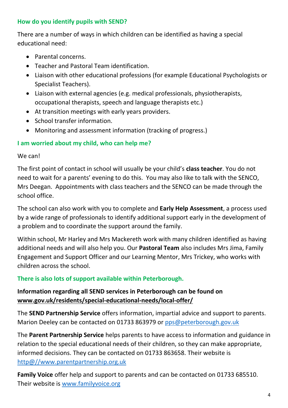# **How do you identify pupils with SEND?**

There are a number of ways in which children can be identified as having a special educational need:

- Parental concerns.
- Teacher and Pastoral Team identification.
- Liaison with other educational professions (for example Educational Psychologists or Specialist Teachers).
- Liaison with external agencies (e.g. medical professionals, physiotherapists, occupational therapists, speech and language therapists etc.)
- At transition meetings with early years providers.
- School transfer information.
- Monitoring and assessment information (tracking of progress.)

# **I am worried about my child, who can help me?**

# We can!

The first point of contact in school will usually be your child's **class teacher**. You do not need to wait for a parents' evening to do this. You may also like to talk with the SENCO, Mrs Deegan. Appointments with class teachers and the SENCO can be made through the school office.

The school can also work with you to complete and **Early Help Assessment**, a process used by a wide range of professionals to identify additional support early in the development of a problem and to coordinate the support around the family.

Within school, Mr Harley and Mrs Mackereth work with many children identified as having additional needs and will also help you. Our **Pastoral Team** also includes Mrs Jima, Family Engagement and Support Officer and our Learning Mentor, Mrs Trickey, who works with children across the school.

# **There is also lots of support available within Peterborough.**

# **Information regarding all SEND services in Peterborough can be found on [www.gov.uk/residents/special-educational-needs/local-offer/](http://www.gov.uk/residents/special-educational-needs/local-offer/)**

The **SEND Partnership Service** offers information, impartial advice and support to parents. Marion Deeley can be contacted on 01733 863979 or [pps@peterborough.gov.uk](mailto:pps@peterborough.gov.uk)

The **Parent Partnership Service** helps parents to have access to information and guidance in relation to the special educational needs of their children, so they can make appropriate, informed decisions. They can be contacted on 01733 863658. Their website is [http@//www.parentpartnership.org.uk](mailto:http@//www.parentpartnership.org.uk)

**Family Voice** offer help and support to parents and can be contacted on 01733 685510. Their website is [www.familyvoice.org](http://www.familyvoice.org/)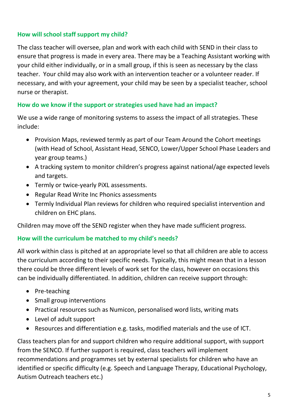### **How will school staff support my child?**

The class teacher will oversee, plan and work with each child with SEND in their class to ensure that progress is made in every area. There may be a Teaching Assistant working with your child either individually, or in a small group, if this is seen as necessary by the class teacher. Your child may also work with an intervention teacher or a volunteer reader. If necessary, and with your agreement, your child may be seen by a specialist teacher, school nurse or therapist.

# **How do we know if the support or strategies used have had an impact?**

We use a wide range of monitoring systems to assess the impact of all strategies. These include:

- Provision Maps, reviewed termly as part of our Team Around the Cohort meetings (with Head of School, Assistant Head, SENCO, Lower/Upper School Phase Leaders and year group teams.)
- A tracking system to monitor children's progress against national/age expected levels and targets.
- Termly or twice-yearly PiXL assessments.
- Regular Read Write Inc Phonics assessments
- Termly Individual Plan reviews for children who required specialist intervention and children on EHC plans.

Children may move off the SEND register when they have made sufficient progress.

# **How will the curriculum be matched to my child's needs?**

All work within class is pitched at an appropriate level so that all children are able to access the curriculum according to their specific needs. Typically, this might mean that in a lesson there could be three different levels of work set for the class, however on occasions this can be individually differentiated. In addition, children can receive support through:

- Pre-teaching
- Small group interventions
- Practical resources such as Numicon, personalised word lists, writing mats
- Level of adult support
- Resources and differentiation e.g. tasks, modified materials and the use of ICT.

Class teachers plan for and support children who require additional support, with support from the SENCO. If further support is required, class teachers will implement recommendations and programmes set by external specialists for children who have an identified or specific difficulty (e.g. Speech and Language Therapy, Educational Psychology, Autism Outreach teachers etc.)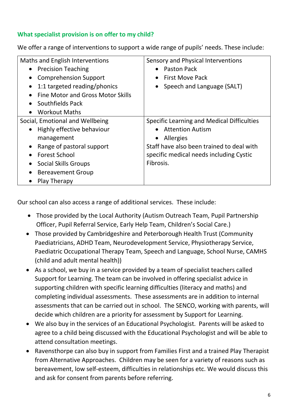# **What specialist provision is on offer to my child?**

We offer a range of interventions to support a wide range of pupils' needs. These include:

| Maths and English Interventions<br>• Precision Teaching<br><b>Comprehension Support</b><br>$\bullet$<br>1:1 targeted reading/phonics<br>$\bullet$<br>Fine Motor and Gross Motor Skills                                                               | Sensory and Physical Interventions<br><b>Paston Pack</b><br>$\bullet$<br><b>First Move Pack</b><br>• Speech and Language (SALT)                                                                |
|------------------------------------------------------------------------------------------------------------------------------------------------------------------------------------------------------------------------------------------------------|------------------------------------------------------------------------------------------------------------------------------------------------------------------------------------------------|
| Southfields Pack<br>$\bullet$<br><b>Workout Maths</b><br>$\bullet$                                                                                                                                                                                   |                                                                                                                                                                                                |
| Social, Emotional and Wellbeing<br>• Highly effective behaviour<br>management<br>Range of pastoral support<br>$\bullet$<br><b>Forest School</b><br>$\bullet$<br><b>Social Skills Groups</b><br><b>Bereavement Group</b><br>$\bullet$<br>Play Therapy | <b>Specific Learning and Medical Difficulties</b><br><b>Attention Autism</b><br>Allergies<br>Staff have also been trained to deal with<br>specific medical needs including Cystic<br>Fibrosis. |

Our school can also access a range of additional services. These include:

- Those provided by the Local Authority (Autism Outreach Team, Pupil Partnership Officer, Pupil Referral Service, Early Help Team, Children's Social Care.)
- Those provided by Cambridgeshire and Peterborough Health Trust (Community Paediatricians, ADHD Team, Neurodevelopment Service, Physiotherapy Service, Paediatric Occupational Therapy Team, Speech and Language, School Nurse, CAMHS (child and adult mental health))
- As a school, we buy in a service provided by a team of specialist teachers called Support for Learning. The team can be involved in offering specialist advice in supporting children with specific learning difficulties (literacy and maths) and completing individual assessments. These assessments are in addition to internal assessments that can be carried out in school. The SENCO, working with parents, will decide which children are a priority for assessment by Support for Learning.
- We also buy in the services of an Educational Psychologist. Parents will be asked to agree to a child being discussed with the Educational Psychologist and will be able to attend consultation meetings.
- Ravensthorpe can also buy in support from Families First and a trained Play Therapist from Alternative Approaches. Children may be seen for a variety of reasons such as bereavement, low self-esteem, difficulties in relationships etc. We would discuss this and ask for consent from parents before referring.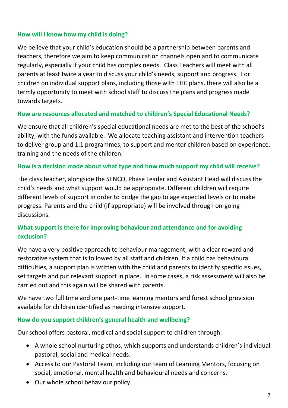#### **How will I know how my child is doing?**

We believe that your child's education should be a partnership between parents and teachers, therefore we aim to keep communication channels open and to communicate regularly, especially if your child has complex needs. Class Teachers will meet with all parents at least twice a year to discuss your child's needs, support and progress. For children on individual support plans, including those with EHC plans, there will also be a termly opportunity to meet with school staff to discuss the plans and progress made towards targets.

#### **How are resources allocated and matched to children's Special Educational Needs?**

We ensure that all children's special educational needs are met to the best of the school's ability, with the funds available. We allocate teaching assistant and intervention teachers to deliver group and 1:1 programmes, to support and mentor children based on experience, training and the needs of the children.

#### **How is a decision made about what type and how much support my child will receive?**

The class teacher, alongside the SENCO, Phase Leader and Assistant Head will discuss the child's needs and what support would be appropriate. Different children will require different levels of support in order to bridge the gap to age expected levels or to make progress. Parents and the child (if appropriate) will be involved through on-going discussions.

# **What support is there for improving behaviour and attendance and for avoiding exclusion?**

We have a very positive approach to behaviour management, with a clear reward and restorative system that is followed by all staff and children. If a child has behavioural difficulties, a support plan is written with the child and parents to identify specific issues, set targets and put relevant support in place. In some cases, a risk assessment will also be carried out and this again will be shared with parents.

We have two full time and one part-time learning mentors and forest school provision available for children identified as needing intensive support.

# **How do you support children's general health and wellbeing?**

Our school offers pastoral, medical and social support to children through:

- A whole school nurturing ethos, which supports and understands children's individual pastoral, social and medical needs.
- Access to our Pastoral Team, including our team of Learning Mentors, focusing on social, emotional, mental health and behavioural needs and concerns.
- Our whole school behaviour policy.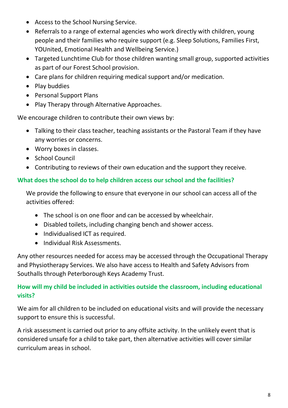- Access to the School Nursing Service.
- Referrals to a range of external agencies who work directly with children, young people and their families who require support (e.g. Sleep Solutions, Families First, YOUnited, Emotional Health and Wellbeing Service.)
- Targeted Lunchtime Club for those children wanting small group, supported activities as part of our Forest School provision.
- Care plans for children requiring medical support and/or medication.
- Play buddies
- Personal Support Plans
- Play Therapy through Alternative Approaches.

We encourage children to contribute their own views by:

- Talking to their class teacher, teaching assistants or the Pastoral Team if they have any worries or concerns.
- Worry boxes in classes.
- School Council
- Contributing to reviews of their own education and the support they receive.

# **What does the school do to help children access our school and the facilities?**

We provide the following to ensure that everyone in our school can access all of the activities offered:

- The school is on one floor and can be accessed by wheelchair.
- Disabled toilets, including changing bench and shower access.
- Individualised ICT as required.
- Individual Risk Assessments.

Any other resources needed for access may be accessed through the Occupational Therapy and Physiotherapy Services. We also have access to Health and Safety Advisors from Southalls through Peterborough Keys Academy Trust.

# **How will my child be included in activities outside the classroom, including educational visits?**

We aim for all children to be included on educational visits and will provide the necessary support to ensure this is successful.

A risk assessment is carried out prior to any offsite activity. In the unlikely event that is considered unsafe for a child to take part, then alternative activities will cover similar curriculum areas in school.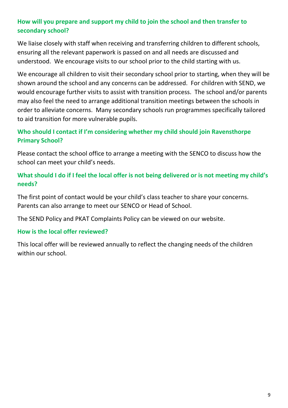# **How will you prepare and support my child to join the school and then transfer to secondary school?**

We liaise closely with staff when receiving and transferring children to different schools, ensuring all the relevant paperwork is passed on and all needs are discussed and understood. We encourage visits to our school prior to the child starting with us.

We encourage all children to visit their secondary school prior to starting, when they will be shown around the school and any concerns can be addressed. For children with SEND, we would encourage further visits to assist with transition process. The school and/or parents may also feel the need to arrange additional transition meetings between the schools in order to alleviate concerns. Many secondary schools run programmes specifically tailored to aid transition for more vulnerable pupils.

# **Who should I contact if I'm considering whether my child should join Ravensthorpe Primary School?**

Please contact the school office to arrange a meeting with the SENCO to discuss how the school can meet your child's needs.

# **What should I do if I feel the local offer is not being delivered or is not meeting my child's needs?**

The first point of contact would be your child's class teacher to share your concerns. Parents can also arrange to meet our SENCO or Head of School.

The SEND Policy and PKAT Complaints Policy can be viewed on our website.

# **How is the local offer reviewed?**

This local offer will be reviewed annually to reflect the changing needs of the children within our school.